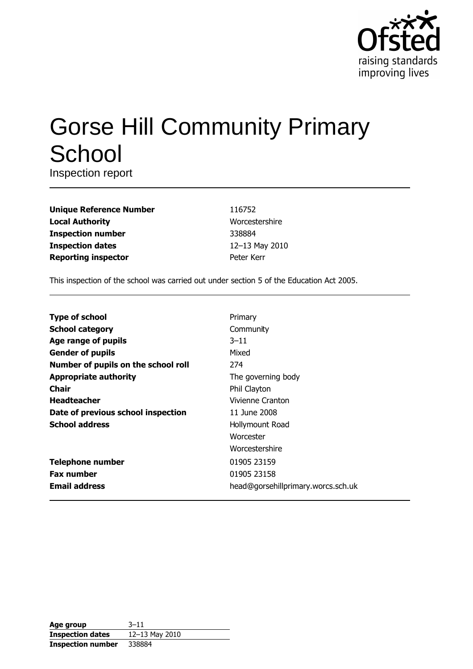

# **Gorse Hill Community Primary** School

Inspection report

| <b>Unique Reference Number</b> |
|--------------------------------|
| <b>Local Authority</b>         |
| <b>Inspection number</b>       |
| <b>Inspection dates</b>        |
| <b>Reporting inspector</b>     |

116752 Worcestershire 338884 12-13 May 2010 Peter Kerr

This inspection of the school was carried out under section 5 of the Education Act 2005.

| <b>Type of school</b>               | Primary                            |
|-------------------------------------|------------------------------------|
| <b>School category</b>              | Community                          |
| Age range of pupils                 | $3 - 11$                           |
| <b>Gender of pupils</b>             | Mixed                              |
| Number of pupils on the school roll | 274                                |
| <b>Appropriate authority</b>        | The governing body                 |
| <b>Chair</b>                        | Phil Clayton                       |
| <b>Headteacher</b>                  | Vivienne Cranton                   |
| Date of previous school inspection  | 11 June 2008                       |
| <b>School address</b>               | Hollymount Road                    |
|                                     | Worcester                          |
|                                     | Worcestershire                     |
| <b>Telephone number</b>             | 01905 23159                        |
| <b>Fax number</b>                   | 01905 23158                        |
| <b>Email address</b>                | head@gorsehillprimary.worcs.sch.uk |

| Age group                | $3 - 11$       |
|--------------------------|----------------|
| <b>Inspection dates</b>  | 12-13 May 2010 |
| <b>Inspection number</b> | 338884         |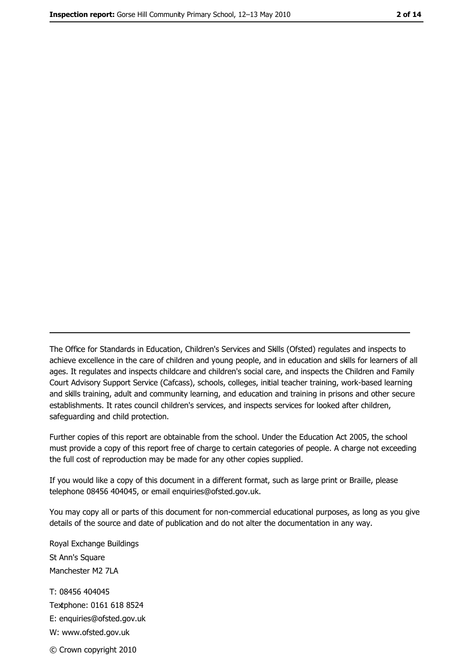The Office for Standards in Education, Children's Services and Skills (Ofsted) regulates and inspects to achieve excellence in the care of children and young people, and in education and skills for learners of all ages. It regulates and inspects childcare and children's social care, and inspects the Children and Family Court Advisory Support Service (Cafcass), schools, colleges, initial teacher training, work-based learning and skills training, adult and community learning, and education and training in prisons and other secure establishments. It rates council children's services, and inspects services for looked after children, safequarding and child protection.

Further copies of this report are obtainable from the school. Under the Education Act 2005, the school must provide a copy of this report free of charge to certain categories of people. A charge not exceeding the full cost of reproduction may be made for any other copies supplied.

If you would like a copy of this document in a different format, such as large print or Braille, please telephone 08456 404045, or email enquiries@ofsted.gov.uk.

You may copy all or parts of this document for non-commercial educational purposes, as long as you give details of the source and date of publication and do not alter the documentation in any way.

Royal Exchange Buildings St Ann's Square Manchester M2 7LA T: 08456 404045 Textphone: 0161 618 8524 E: enquiries@ofsted.gov.uk W: www.ofsted.gov.uk © Crown copyright 2010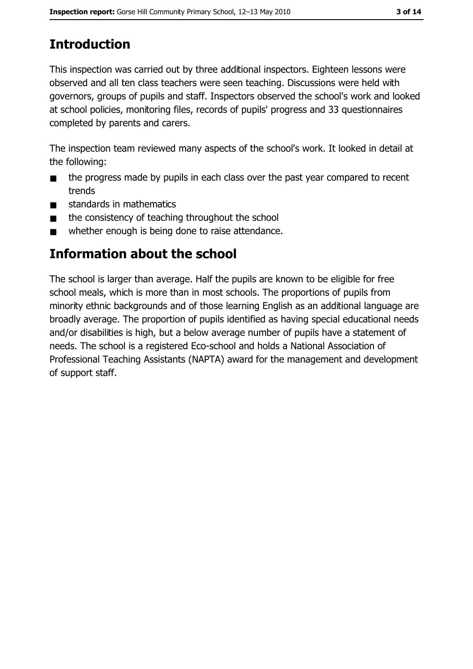# **Introduction**

This inspection was carried out by three additional inspectors. Eighteen lessons were observed and all ten class teachers were seen teaching. Discussions were held with governors, groups of pupils and staff. Inspectors observed the school's work and looked at school policies, monitoring files, records of pupils' progress and 33 questionnaires completed by parents and carers.

The inspection team reviewed many aspects of the school's work. It looked in detail at the following:

- the progress made by pupils in each class over the past year compared to recent  $\blacksquare$ trends
- standards in mathematics  $\blacksquare$
- the consistency of teaching throughout the school  $\blacksquare$
- whether enough is being done to raise attendance.  $\blacksquare$

## Information about the school

The school is larger than average. Half the pupils are known to be eligible for free school meals, which is more than in most schools. The proportions of pupils from minority ethnic backgrounds and of those learning English as an additional language are broadly average. The proportion of pupils identified as having special educational needs and/or disabilities is high, but a below average number of pupils have a statement of needs. The school is a registered Eco-school and holds a National Association of Professional Teaching Assistants (NAPTA) award for the management and development of support staff.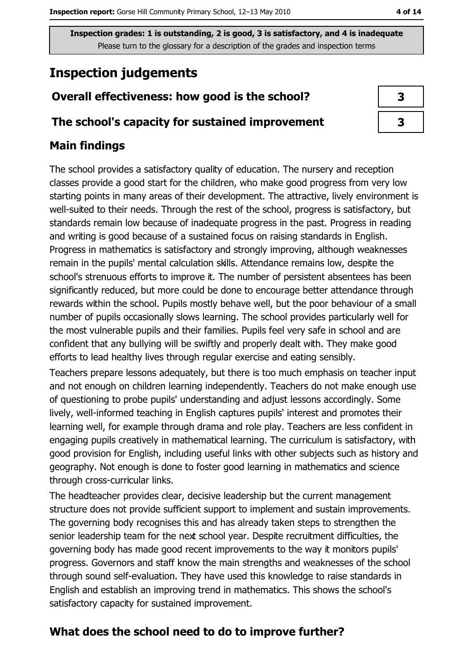# **Inspection judgements**

## Overall effectiveness: how good is the school?

#### The school's capacity for sustained improvement

## **Main findings**

The school provides a satisfactory quality of education. The nursery and reception classes provide a good start for the children, who make good progress from very low starting points in many areas of their development. The attractive, lively environment is well-suited to their needs. Through the rest of the school, progress is satisfactory, but standards remain low because of inadequate progress in the past. Progress in reading and writing is good because of a sustained focus on raising standards in English. Progress in mathematics is satisfactory and strongly improving, although weaknesses remain in the pupils' mental calculation skills. Attendance remains low, despite the school's strenuous efforts to improve it. The number of persistent absentees has been significantly reduced, but more could be done to encourage better attendance through rewards within the school. Pupils mostly behave well, but the poor behaviour of a small number of pupils occasionally slows learning. The school provides particularly well for the most vulnerable pupils and their families. Pupils feel very safe in school and are confident that any bullying will be swiftly and properly dealt with. They make good efforts to lead healthy lives through regular exercise and eating sensibly.

Teachers prepare lessons adequately, but there is too much emphasis on teacher input and not enough on children learning independently. Teachers do not make enough use of questioning to probe pupils' understanding and adjust lessons accordingly. Some lively, well-informed teaching in English captures pupils' interest and promotes their learning well, for example through drama and role play. Teachers are less confident in engaging pupils creatively in mathematical learning. The curriculum is satisfactory, with good provision for English, including useful links with other subjects such as history and geography. Not enough is done to foster good learning in mathematics and science through cross-curricular links.

The headteacher provides clear, decisive leadership but the current management structure does not provide sufficient support to implement and sustain improvements. The governing body recognises this and has already taken steps to strengthen the senior leadership team for the next school year. Despite recruitment difficulties, the governing body has made good recent improvements to the way it monitors pupils' progress. Governors and staff know the main strengths and weaknesses of the school through sound self-evaluation. They have used this knowledge to raise standards in English and establish an improving trend in mathematics. This shows the school's satisfactory capacity for sustained improvement.

## What does the school need to do to improve further?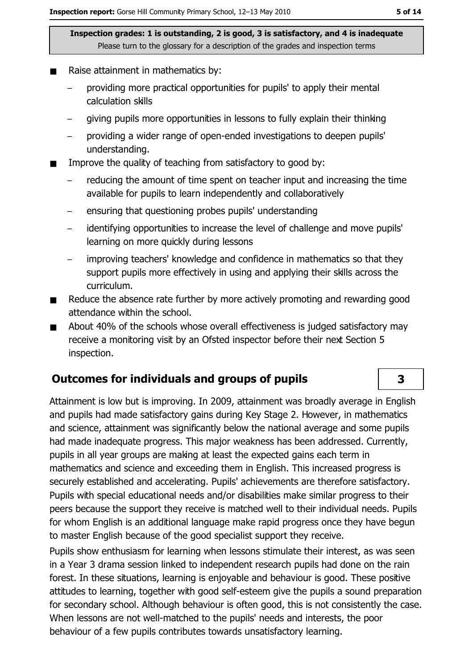- Raise attainment in mathematics by:
	- providing more practical opportunities for pupils' to apply their mental calculation skills
	- giving pupils more opportunities in lessons to fully explain their thinking
	- providing a wider range of open-ended investigations to deepen pupils' understanding.
- Improve the quality of teaching from satisfactory to good by:
	- reducing the amount of time spent on teacher input and increasing the time available for pupils to learn independently and collaboratively
	- ensuring that questioning probes pupils' understanding
	- identifying opportunities to increase the level of challenge and move pupils'  $\overline{\phantom{0}}$ learning on more quickly during lessons
	- improving teachers' knowledge and confidence in mathematics so that they support pupils more effectively in using and applying their skills across the curriculum.
- Reduce the absence rate further by more actively promoting and rewarding good  $\blacksquare$ attendance within the school.
- About 40% of the schools whose overall effectiveness is judged satisfactory may  $\blacksquare$ receive a monitoring visit by an Ofsted inspector before their next Section 5 inspection.

#### **Outcomes for individuals and groups of pupils**

Attainment is low but is improving. In 2009, attainment was broadly average in English and pupils had made satisfactory gains during Key Stage 2. However, in mathematics and science, attainment was significantly below the national average and some pupils had made inadequate progress. This major weakness has been addressed. Currently, pupils in all year groups are making at least the expected gains each term in mathematics and science and exceeding them in English. This increased progress is securely established and accelerating. Pupils' achievements are therefore satisfactory. Pupils with special educational needs and/or disabilities make similar progress to their peers because the support they receive is matched well to their individual needs. Pupils for whom English is an additional language make rapid progress once they have begun to master English because of the good specialist support they receive.

Pupils show enthusiasm for learning when lessons stimulate their interest, as was seen in a Year 3 drama session linked to independent research pupils had done on the rain forest. In these situations, learning is enjoyable and behaviour is good. These positive attitudes to learning, together with good self-esteem give the pupils a sound preparation for secondary school. Although behaviour is often good, this is not consistently the case. When lessons are not well-matched to the pupils' needs and interests, the poor behaviour of a few pupils contributes towards unsatisfactory learning.

#### 3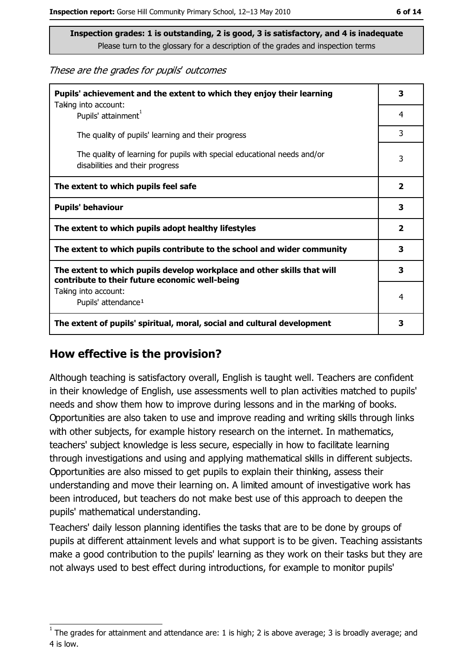These are the grades for pupils' outcomes

| Pupils' achievement and the extent to which they enjoy their learning<br>Taking into account:                             | 3                       |
|---------------------------------------------------------------------------------------------------------------------------|-------------------------|
| Pupils' attainment <sup>1</sup>                                                                                           | 4                       |
| The quality of pupils' learning and their progress                                                                        | 3                       |
| The quality of learning for pupils with special educational needs and/or<br>disabilities and their progress               | 3                       |
| The extent to which pupils feel safe                                                                                      | $\overline{\mathbf{2}}$ |
| <b>Pupils' behaviour</b>                                                                                                  | 3                       |
| The extent to which pupils adopt healthy lifestyles                                                                       | $\overline{\mathbf{2}}$ |
| The extent to which pupils contribute to the school and wider community                                                   | 3                       |
| The extent to which pupils develop workplace and other skills that will<br>contribute to their future economic well-being | 3                       |
| Taking into account:<br>Pupils' attendance <sup>1</sup>                                                                   | 4                       |
| The extent of pupils' spiritual, moral, social and cultural development                                                   | 3                       |

#### How effective is the provision?

Although teaching is satisfactory overall, English is taught well. Teachers are confident in their knowledge of English, use assessments well to plan activities matched to pupils' needs and show them how to improve during lessons and in the marking of books. Opportunities are also taken to use and improve reading and writing skills through links with other subjects, for example history research on the internet. In mathematics, teachers' subject knowledge is less secure, especially in how to facilitate learning through investigations and using and applying mathematical skills in different subjects. Opportunities are also missed to get pupils to explain their thinking, assess their understanding and move their learning on. A limited amount of investigative work has been introduced, but teachers do not make best use of this approach to deepen the pupils' mathematical understanding.

Teachers' daily lesson planning identifies the tasks that are to be done by groups of pupils at different attainment levels and what support is to be given. Teaching assistants make a good contribution to the pupils' learning as they work on their tasks but they are not always used to best effect during introductions, for example to monitor pupils'

The grades for attainment and attendance are: 1 is high; 2 is above average; 3 is broadly average; and 4 is low.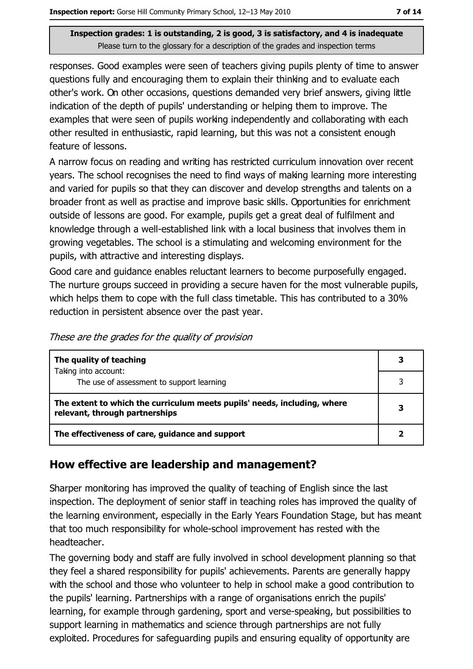responses. Good examples were seen of teachers giving pupils plenty of time to answer questions fully and encouraging them to explain their thinking and to evaluate each other's work. On other occasions, questions demanded very brief answers, giving little indication of the depth of pupils' understanding or helping them to improve. The examples that were seen of pupils working independently and collaborating with each other resulted in enthusiastic, rapid learning, but this was not a consistent enough feature of lessons.

A narrow focus on reading and writing has restricted curriculum innovation over recent years. The school recognises the need to find ways of making learning more interesting and varied for pupils so that they can discover and develop strengths and talents on a broader front as well as practise and improve basic skills. Opportunities for enrichment outside of lessons are good. For example, pupils get a great deal of fulfilment and knowledge through a well-established link with a local business that involves them in growing vegetables. The school is a stimulating and welcoming environment for the pupils, with attractive and interesting displays.

Good care and guidance enables reluctant learners to become purposefully engaged. The nurture groups succeed in providing a secure haven for the most vulnerable pupils, which helps them to cope with the full class timetable. This has contributed to a 30% reduction in persistent absence over the past year.

| These are the grades for the quality of provision |  |  |  |  |
|---------------------------------------------------|--|--|--|--|

| The quality of teaching                                                                                    | 3 |
|------------------------------------------------------------------------------------------------------------|---|
| Taking into account:                                                                                       | २ |
| The use of assessment to support learning                                                                  |   |
| The extent to which the curriculum meets pupils' needs, including, where<br>relevant, through partnerships | 3 |
| The effectiveness of care, guidance and support                                                            |   |

#### How effective are leadership and management?

Sharper monitoring has improved the quality of teaching of English since the last inspection. The deployment of senior staff in teaching roles has improved the quality of the learning environment, especially in the Early Years Foundation Stage, but has meant that too much responsibility for whole-school improvement has rested with the headteacher.

The governing body and staff are fully involved in school development planning so that they feel a shared responsibility for pupils' achievements. Parents are generally happy with the school and those who volunteer to help in school make a good contribution to the pupils' learning. Partnerships with a range of organisations enrich the pupils' learning, for example through gardening, sport and verse-speaking, but possibilities to support learning in mathematics and science through partnerships are not fully exploited. Procedures for safeguarding pupils and ensuring equality of opportunity are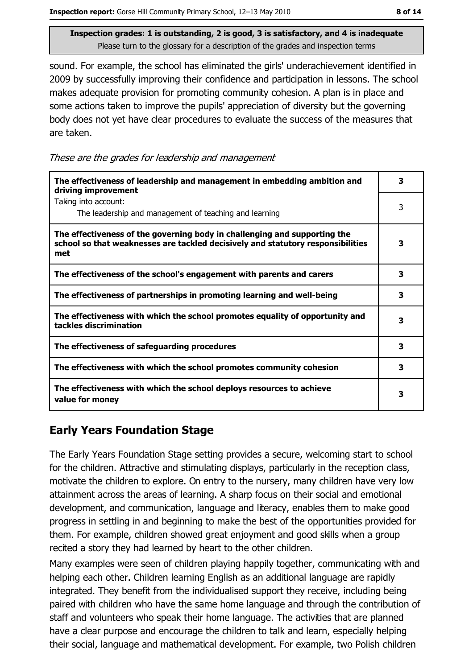sound. For example, the school has eliminated the girls' underachievement identified in 2009 by successfully improving their confidence and participation in lessons. The school makes adequate provision for promoting community cohesion. A plan is in place and some actions taken to improve the pupils' appreciation of diversity but the governing body does not yet have clear procedures to evaluate the success of the measures that are taken.

These are the grades for leadership and management

| The effectiveness of leadership and management in embedding ambition and<br>driving improvement                                                                     | 3 |
|---------------------------------------------------------------------------------------------------------------------------------------------------------------------|---|
| Taking into account:<br>The leadership and management of teaching and learning                                                                                      | 3 |
| The effectiveness of the governing body in challenging and supporting the<br>school so that weaknesses are tackled decisively and statutory responsibilities<br>met | 3 |
| The effectiveness of the school's engagement with parents and carers                                                                                                | 3 |
| The effectiveness of partnerships in promoting learning and well-being                                                                                              | З |
| The effectiveness with which the school promotes equality of opportunity and<br>tackles discrimination                                                              | З |
| The effectiveness of safeguarding procedures                                                                                                                        | 3 |
| The effectiveness with which the school promotes community cohesion                                                                                                 | 3 |
| The effectiveness with which the school deploys resources to achieve<br>value for money                                                                             | 3 |

## **Early Years Foundation Stage**

The Early Years Foundation Stage setting provides a secure, welcoming start to school for the children. Attractive and stimulating displays, particularly in the reception class, motivate the children to explore. On entry to the nursery, many children have very low attainment across the areas of learning. A sharp focus on their social and emotional development, and communication, language and literacy, enables them to make good progress in settling in and beginning to make the best of the opportunities provided for them. For example, children showed great eniovment and good skills when a group recited a story they had learned by heart to the other children.

Many examples were seen of children playing happily together, communicating with and helping each other. Children learning English as an additional language are rapidly integrated. They benefit from the individualised support they receive, including being paired with children who have the same home language and through the contribution of staff and volunteers who speak their home language. The activities that are planned have a clear purpose and encourage the children to talk and learn, especially helping their social, language and mathematical development. For example, two Polish children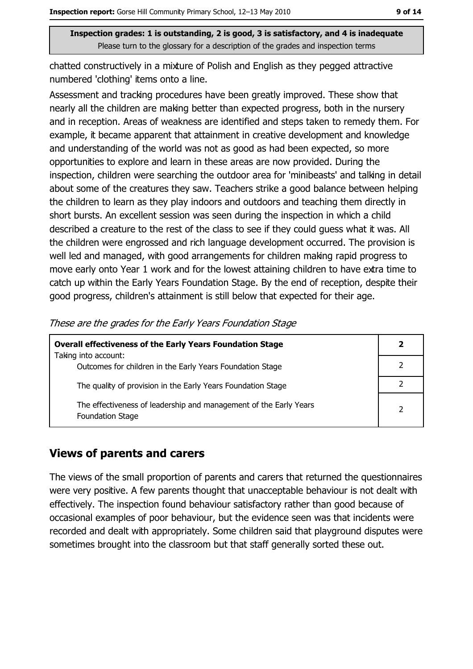chatted constructively in a mixture of Polish and English as they pegged attractive numbered 'clothing' items onto a line.

Assessment and tracking procedures have been greatly improved. These show that nearly all the children are making better than expected progress, both in the nursery and in reception. Areas of weakness are identified and steps taken to remedy them. For example, it became apparent that attainment in creative development and knowledge and understanding of the world was not as good as had been expected, so more opportunities to explore and learn in these areas are now provided. During the inspection, children were searching the outdoor area for 'minibeasts' and talking in detail about some of the creatures they saw. Teachers strike a good balance between helping the children to learn as they play indoors and outdoors and teaching them directly in short bursts. An excellent session was seen during the inspection in which a child described a creature to the rest of the class to see if they could guess what it was. All the children were engrossed and rich language development occurred. The provision is well led and managed, with good arrangements for children making rapid progress to move early onto Year 1 work and for the lowest attaining children to have extra time to catch up within the Early Years Foundation Stage. By the end of reception, despite their good progress, children's attainment is still below that expected for their age.

| <b>Overall effectiveness of the Early Years Foundation Stage</b>                             |   |
|----------------------------------------------------------------------------------------------|---|
| Taking into account:<br>Outcomes for children in the Early Years Foundation Stage            |   |
| The quality of provision in the Early Years Foundation Stage                                 |   |
| The effectiveness of leadership and management of the Early Years<br><b>Foundation Stage</b> | っ |

These are the grades for the Early Years Foundation Stage

#### **Views of parents and carers**

The views of the small proportion of parents and carers that returned the questionnaires were very positive. A few parents thought that unacceptable behaviour is not dealt with effectively. The inspection found behaviour satisfactory rather than good because of occasional examples of poor behaviour, but the evidence seen was that incidents were recorded and dealt with appropriately. Some children said that playground disputes were sometimes brought into the classroom but that staff generally sorted these out.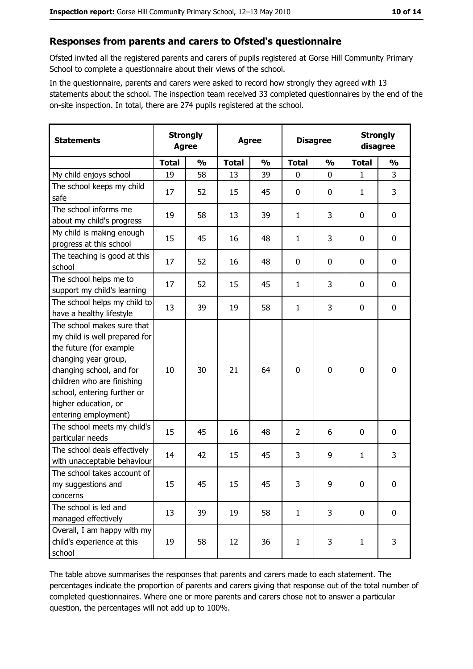#### Responses from parents and carers to Ofsted's questionnaire

Ofsted invited all the registered parents and carers of pupils registered at Gorse Hill Community Primary School to complete a questionnaire about their views of the school.

In the questionnaire, parents and carers were asked to record how strongly they agreed with 13 statements about the school. The inspection team received 33 completed questionnaires by the end of the on-site inspection. In total, there are 274 pupils registered at the school.

| <b>Statements</b>                                                                                                                                                                                                                                       | <b>Strongly</b><br><b>Agree</b> |               | <b>Agree</b> |               | <b>Disagree</b> |               | <b>Strongly</b><br>disagree |                  |
|---------------------------------------------------------------------------------------------------------------------------------------------------------------------------------------------------------------------------------------------------------|---------------------------------|---------------|--------------|---------------|-----------------|---------------|-----------------------------|------------------|
|                                                                                                                                                                                                                                                         | <b>Total</b>                    | $\frac{1}{2}$ | <b>Total</b> | $\frac{0}{0}$ | <b>Total</b>    | $\frac{0}{0}$ | <b>Total</b>                | $\frac{0}{0}$    |
| My child enjoys school                                                                                                                                                                                                                                  | 19                              | 58            | 13           | 39            | $\mathbf 0$     | 0             | $\mathbf{1}$                | 3                |
| The school keeps my child<br>safe                                                                                                                                                                                                                       | 17                              | 52            | 15           | 45            | $\mathbf 0$     | 0             | 1                           | 3                |
| The school informs me<br>about my child's progress                                                                                                                                                                                                      | 19                              | 58            | 13           | 39            | $\mathbf{1}$    | 3             | 0                           | 0                |
| My child is making enough<br>progress at this school                                                                                                                                                                                                    | 15                              | 45            | 16           | 48            | $\mathbf{1}$    | 3             | 0                           | $\mathbf 0$      |
| The teaching is good at this<br>school                                                                                                                                                                                                                  | 17                              | 52            | 16           | 48            | $\mathbf 0$     | 0             | 0                           | $\mathbf 0$      |
| The school helps me to<br>support my child's learning                                                                                                                                                                                                   | 17                              | 52            | 15           | 45            | 1               | 3             | 0                           | $\mathbf 0$      |
| The school helps my child to<br>have a healthy lifestyle                                                                                                                                                                                                | 13                              | 39            | 19           | 58            | $\mathbf{1}$    | 3             | $\mathbf 0$                 | $\mathbf 0$      |
| The school makes sure that<br>my child is well prepared for<br>the future (for example<br>changing year group,<br>changing school, and for<br>children who are finishing<br>school, entering further or<br>higher education, or<br>entering employment) | 10                              | 30            | 21           | 64            | $\mathbf 0$     | 0             | 0                           | $\mathbf 0$      |
| The school meets my child's<br>particular needs                                                                                                                                                                                                         | 15                              | 45            | 16           | 48            | $\overline{2}$  | 6             | 0                           | $\boldsymbol{0}$ |
| The school deals effectively<br>with unacceptable behaviour                                                                                                                                                                                             | 14                              | 42            | 15           | 45            | 3               | 9             | 1                           | 3                |
| The school takes account of<br>my suggestions and<br>concerns                                                                                                                                                                                           | 15                              | 45            | 15           | 45            | 3               | 9             | $\mathbf 0$                 | $\mathbf 0$      |
| The school is led and<br>managed effectively                                                                                                                                                                                                            | 13                              | 39            | 19           | 58            | $\mathbf{1}$    | 3             | $\bf{0}$                    | $\mathbf 0$      |
| Overall, I am happy with my<br>child's experience at this<br>school                                                                                                                                                                                     | 19                              | 58            | 12           | 36            | $\mathbf{1}$    | 3             | 1                           | 3                |

The table above summarises the responses that parents and carers made to each statement. The percentages indicate the proportion of parents and carers giving that response out of the total number of completed questionnaires. Where one or more parents and carers chose not to answer a particular question, the percentages will not add up to 100%.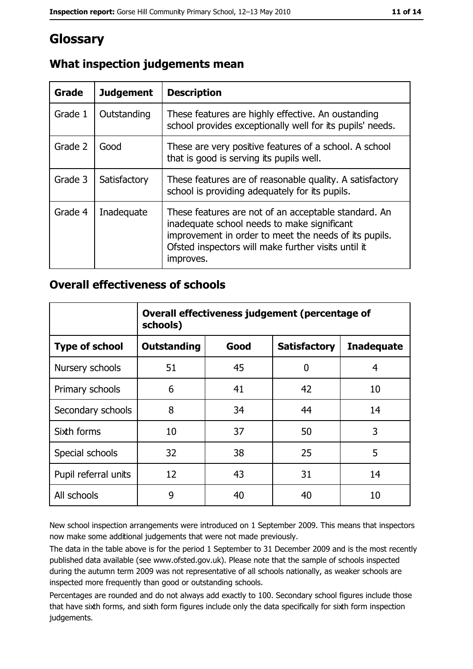# Glossary

| Grade   | <b>Judgement</b> | <b>Description</b>                                                                                                                                                                                                               |
|---------|------------------|----------------------------------------------------------------------------------------------------------------------------------------------------------------------------------------------------------------------------------|
| Grade 1 | Outstanding      | These features are highly effective. An oustanding<br>school provides exceptionally well for its pupils' needs.                                                                                                                  |
| Grade 2 | Good             | These are very positive features of a school. A school<br>that is good is serving its pupils well.                                                                                                                               |
| Grade 3 | Satisfactory     | These features are of reasonable quality. A satisfactory<br>school is providing adequately for its pupils.                                                                                                                       |
| Grade 4 | Inadequate       | These features are not of an acceptable standard. An<br>inadequate school needs to make significant<br>improvement in order to meet the needs of its pupils.<br>Ofsted inspectors will make further visits until it<br>improves. |

## What inspection judgements mean

#### **Overall effectiveness of schools**

|                       | Overall effectiveness judgement (percentage of<br>schools) |      |                     |                   |  |
|-----------------------|------------------------------------------------------------|------|---------------------|-------------------|--|
| <b>Type of school</b> | <b>Outstanding</b>                                         | Good | <b>Satisfactory</b> | <b>Inadequate</b> |  |
| Nursery schools       | 51                                                         | 45   | 0                   | 4                 |  |
| Primary schools       | 6                                                          | 41   | 42                  | 10                |  |
| Secondary schools     | 8                                                          | 34   | 44                  | 14                |  |
| Sixth forms           | 10                                                         | 37   | 50                  | 3                 |  |
| Special schools       | 32                                                         | 38   | 25                  | 5                 |  |
| Pupil referral units  | 12                                                         | 43   | 31                  | 14                |  |
| All schools           | 9                                                          | 40   | 40                  | 10                |  |

New school inspection arrangements were introduced on 1 September 2009. This means that inspectors now make some additional judgements that were not made previously.

The data in the table above is for the period 1 September to 31 December 2009 and is the most recently published data available (see www.ofsted.gov.uk). Please note that the sample of schools inspected during the autumn term 2009 was not representative of all schools nationally, as weaker schools are inspected more frequently than good or outstanding schools.

Percentages are rounded and do not always add exactly to 100. Secondary school figures include those that have sixth forms, and sixth form figures include only the data specifically for sixth form inspection judgements.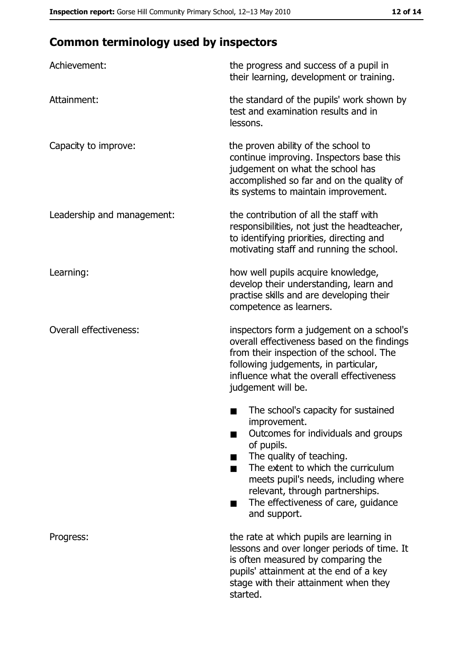# **Common terminology used by inspectors**

| Achievement:                  | the progress and success of a pupil in<br>their learning, development or training.                                                                                                                                                                                                                           |
|-------------------------------|--------------------------------------------------------------------------------------------------------------------------------------------------------------------------------------------------------------------------------------------------------------------------------------------------------------|
| Attainment:                   | the standard of the pupils' work shown by<br>test and examination results and in<br>lessons.                                                                                                                                                                                                                 |
| Capacity to improve:          | the proven ability of the school to<br>continue improving. Inspectors base this<br>judgement on what the school has<br>accomplished so far and on the quality of<br>its systems to maintain improvement.                                                                                                     |
| Leadership and management:    | the contribution of all the staff with<br>responsibilities, not just the headteacher,<br>to identifying priorities, directing and<br>motivating staff and running the school.                                                                                                                                |
| Learning:                     | how well pupils acquire knowledge,<br>develop their understanding, learn and<br>practise skills and are developing their<br>competence as learners.                                                                                                                                                          |
| <b>Overall effectiveness:</b> | inspectors form a judgement on a school's<br>overall effectiveness based on the findings<br>from their inspection of the school. The<br>following judgements, in particular,<br>influence what the overall effectiveness<br>judgement will be.                                                               |
|                               | The school's capacity for sustained<br>improvement.<br>Outcomes for individuals and groups<br>of pupils.<br>The quality of teaching.<br>The extent to which the curriculum<br>meets pupil's needs, including where<br>relevant, through partnerships.<br>The effectiveness of care, guidance<br>and support. |
| Progress:                     | the rate at which pupils are learning in<br>lessons and over longer periods of time. It<br>is often measured by comparing the<br>pupils' attainment at the end of a key<br>stage with their attainment when they<br>started.                                                                                 |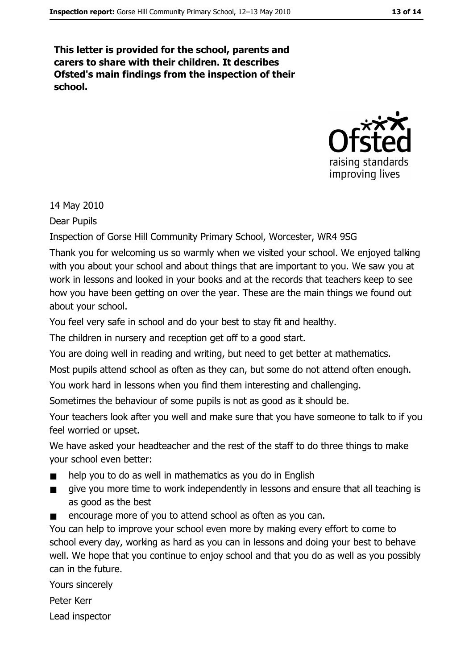This letter is provided for the school, parents and carers to share with their children. It describes Ofsted's main findings from the inspection of their school.



14 May 2010

Dear Pupils

Inspection of Gorse Hill Community Primary School, Worcester, WR4 9SG

Thank you for welcoming us so warmly when we visited your school. We enjoyed talking with you about your school and about things that are important to you. We saw you at work in lessons and looked in your books and at the records that teachers keep to see how you have been getting on over the year. These are the main things we found out about your school.

You feel very safe in school and do your best to stay fit and healthy.

The children in nursery and reception get off to a good start.

You are doing well in reading and writing, but need to get better at mathematics.

Most pupils attend school as often as they can, but some do not attend often enough.

You work hard in lessons when you find them interesting and challenging.

Sometimes the behaviour of some pupils is not as good as it should be.

Your teachers look after you well and make sure that you have someone to talk to if you feel worried or upset.

We have asked your headteacher and the rest of the staff to do three things to make your school even better:

- help you to do as well in mathematics as you do in English  $\blacksquare$
- $\blacksquare$ give you more time to work independently in lessons and ensure that all teaching is as good as the best
- encourage more of you to attend school as often as you can.  $\blacksquare$

You can help to improve your school even more by making every effort to come to school every day, working as hard as you can in lessons and doing your best to behave well. We hope that you continue to enjoy school and that you do as well as you possibly can in the future.

Yours sincerely

Peter Kerr

Lead inspector